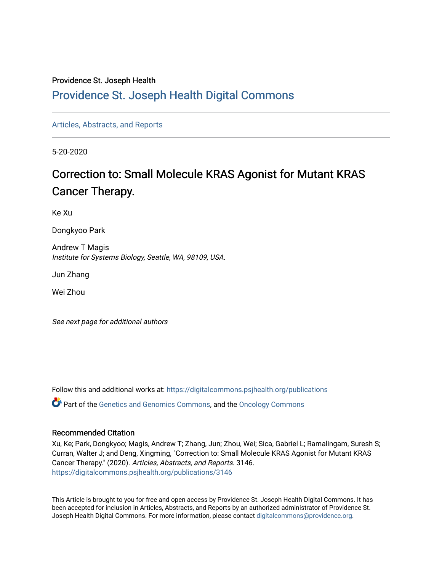# Providence St. Joseph Health

# [Providence St. Joseph Health Digital Commons](https://digitalcommons.psjhealth.org/)

[Articles, Abstracts, and Reports](https://digitalcommons.psjhealth.org/publications) 

5-20-2020

# Correction to: Small Molecule KRAS Agonist for Mutant KRAS Cancer Therapy.

Ke Xu

Dongkyoo Park

Andrew T Magis Institute for Systems Biology, Seattle, WA, 98109, USA.

Jun Zhang

Wei Zhou

See next page for additional authors

Follow this and additional works at: [https://digitalcommons.psjhealth.org/publications](https://digitalcommons.psjhealth.org/publications?utm_source=digitalcommons.psjhealth.org%2Fpublications%2F3146&utm_medium=PDF&utm_campaign=PDFCoverPages) Part of the [Genetics and Genomics Commons](http://network.bepress.com/hgg/discipline/27?utm_source=digitalcommons.psjhealth.org%2Fpublications%2F3146&utm_medium=PDF&utm_campaign=PDFCoverPages), and the [Oncology Commons](http://network.bepress.com/hgg/discipline/694?utm_source=digitalcommons.psjhealth.org%2Fpublications%2F3146&utm_medium=PDF&utm_campaign=PDFCoverPages) 

# Recommended Citation

Xu, Ke; Park, Dongkyoo; Magis, Andrew T; Zhang, Jun; Zhou, Wei; Sica, Gabriel L; Ramalingam, Suresh S; Curran, Walter J; and Deng, Xingming, "Correction to: Small Molecule KRAS Agonist for Mutant KRAS Cancer Therapy." (2020). Articles, Abstracts, and Reports. 3146. [https://digitalcommons.psjhealth.org/publications/3146](https://digitalcommons.psjhealth.org/publications/3146?utm_source=digitalcommons.psjhealth.org%2Fpublications%2F3146&utm_medium=PDF&utm_campaign=PDFCoverPages) 

This Article is brought to you for free and open access by Providence St. Joseph Health Digital Commons. It has been accepted for inclusion in Articles, Abstracts, and Reports by an authorized administrator of Providence St. Joseph Health Digital Commons. For more information, please contact [digitalcommons@providence.org.](mailto:digitalcommons@providence.org)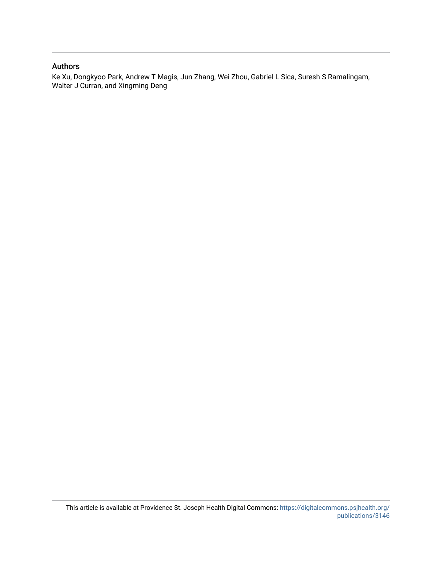# Authors

Ke Xu, Dongkyoo Park, Andrew T Magis, Jun Zhang, Wei Zhou, Gabriel L Sica, Suresh S Ramalingam, Walter J Curran, and Xingming Deng